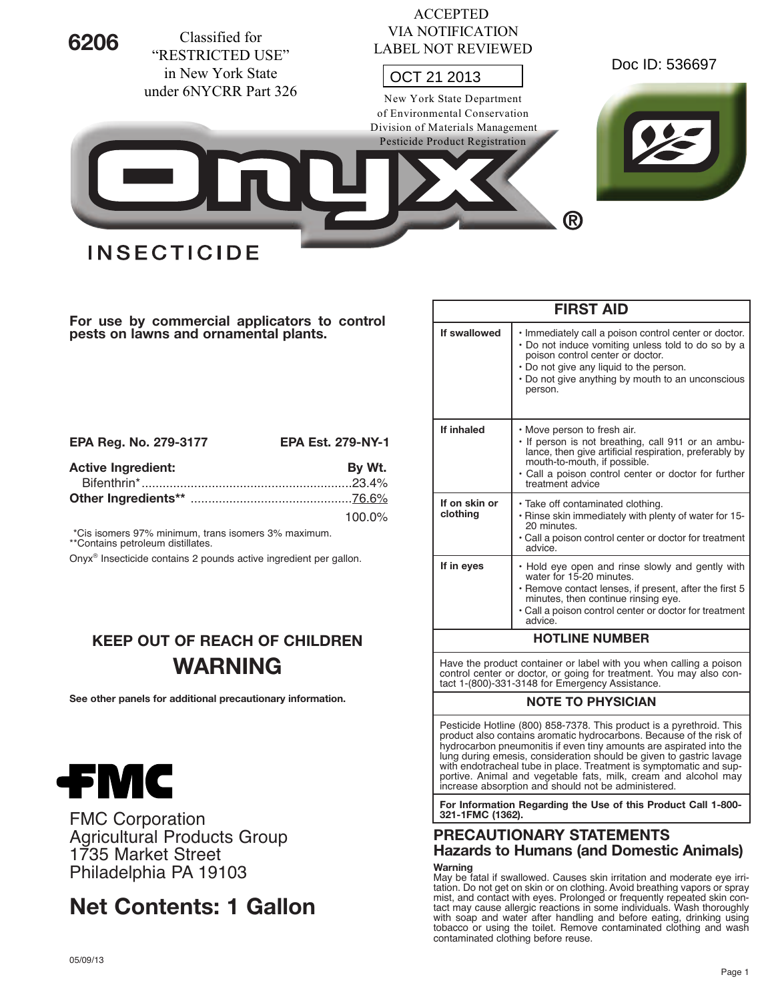

ACCEPTED

**For use by commercial applicators to control pests on lawns and ornamental plants.**

| EPA Reg. No. 279-3177     | <b>EPA Est. 279-NY-1</b> |
|---------------------------|--------------------------|
| <b>Active Ingredient:</b> | By Wt.                   |
|                           |                          |
|                           |                          |
|                           | 100.0%                   |

\*Cis isomers 97% minimum, trans isomers 3% maximum. \*\*Contains petroleum distillates.

Onyx® Insecticide contains 2 pounds active ingredient per gallon.

# **KEEP OUT OF REACH OF CHILDREN WARNING**

**See other panels for additional precautionary information.**



FMC Corporation Agricultural Products Group 1735 Market Street Philadelphia PA 19103

# **Net Contents: 1 Gallon**

| <b>FIRST AID</b>          |                                                                                                                                                                                                                                                            |  |  |  |
|---------------------------|------------------------------------------------------------------------------------------------------------------------------------------------------------------------------------------------------------------------------------------------------------|--|--|--|
| If swallowed              | • Immediately call a poison control center or doctor.<br>• Do not induce vomiting unless told to do so by a<br>poison control center or doctor.<br>• Do not give any liquid to the person.<br>• Do not give anything by mouth to an unconscious<br>person. |  |  |  |
| If inhaled                | • Move person to fresh air.<br>. If person is not breathing, call 911 or an ambu-<br>lance, then give artificial respiration, preferably by<br>mouth-to-mouth, if possible.<br>· Call a poison control center or doctor for further<br>treatment advice    |  |  |  |
| If on skin or<br>clothing | • Take off contaminated clothing.<br>. Rinse skin immediately with plenty of water for 15-<br>20 minutes.<br>• Call a poison control center or doctor for treatment<br>advice.                                                                             |  |  |  |
| If in eyes                | • Hold eye open and rinse slowly and gently with<br>water for 15-20 minutes.<br>• Remove contact lenses, if present, after the first 5<br>minutes, then continue rinsing eye.<br>• Call a poison control center or doctor for treatment<br>advice          |  |  |  |
| <b>HOTLINE NUMBER</b>     |                                                                                                                                                                                                                                                            |  |  |  |
|                           | Have the product container or label with you when calling a poison                                                                                                                                                                                         |  |  |  |

control center or doctor, or going for treatment. You may also contact 1-(800)-331-3148 for Emergency Assistance.

# **NOTE TO PHYSICIAN**

Pesticide Hotline (800) 858-7378. This product is a pyrethroid. This product also contains aromatic hydrocarbons. Because of the risk of hydrocarbon pneumonitis if even tiny amounts are aspirated into the lung during emesis, consideration should be given to gastric lavage with endotracheal tube in place. Treatment is symptomatic and supportive. Animal and vegetable fats, milk, cream and alcohol may increase absorption and should not be administered.

**For Information Regarding the Use of this Product Call 1-800- 321-1FMC (1362).**

# **PRECAUTIONARY STATEMENTS Hazards to Humans (and Domestic Animals) Warning**

May be fatal if swallowed. Causes skin irritation and moderate eye irritation. Do not get on skin or on clothing. Avoid breathing vapors or spray mist, and contact with eyes. Prolonged or frequently repeated skin contact may cause allergic reactions in some individuals. Wash thoroughly with soap and water after handling and before eating, drinking using tobacco or using the toilet. Remove contaminated clothing and wash contaminated clothing before reuse.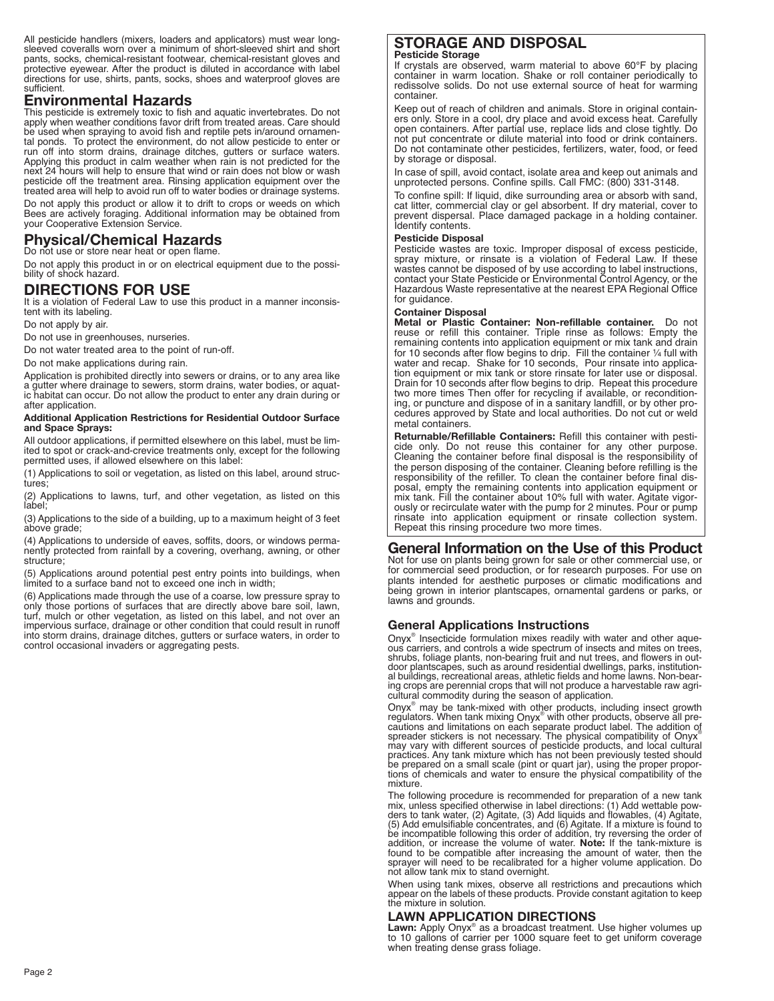All pesticide handlers (mixers, loaders and applicators) must wear long- sleeved coveralls worn over <sup>a</sup> minimum of short-sleeved shirt and short pants, socks, chemical-resistant footwear, chemical-resistant gloves and protective eyewear. After the product is diluted in accordance with label directions for use, shirts, pants, socks, shoes and waterproof gloves are sufficient.

## **Environmental Hazards**

This pesticide is extremely toxic to fish and aquatic invertebrates. Do not apply when weather conditions favor drift from treated areas. Care should be used when spraying to avoid fish and reptile pets in/around ornamen-<br>tal ponds. To protect the environment, do not allow pesticide to enter or run off into storm drains, drainage ditches, gutters or surface waters. Applying this product in calm weather when rain is not predicted for the next 24 hours will help to ensure that wind or rain does not blow or wash pesticide off the treatment area. Rinsing application equipment over the treated area will help to avoid run off to water bodies or drainage systems.

Do not apply this product or allow it to drift to crops or weeds on which Bees are actively foraging. Additional information may be obtained from your Cooperative Extension Service.

# **Physical/Chemical Hazards**

Do not use or store near heat or open flame. Do not apply this product in or on electrical equipment due to the possi- bility of shock hazard.

## **DIRECTIONS FOR USE**

It is a violation of Federal Law to use this product in a manner inconsistent with its labeling.

Do not apply by air.

Do not use in greenhouses, nurseries.

Do not water treated area to the point of run-off.

Do not make applications during rain.

Application is prohibited directly into sewers or drains, or to any area like a gutter where drainage to sewers, storm drains, water bodies, or aquatic habitat can occur. Do not allow the product to enter any drain during or after application.

#### **Additional Application Restrictions for Residential Outdoor Surface and Space Sprays:**

All outdoor applications, if permitted elsewhere on this label, must be limited to spot or crack-and-crevice treatments only, except for the following permitted uses, if allowed elsewhere on this label:

(1) Applications to soil or vegetation, as listed on this label, around structures;

(2) Applications to lawns, turf, and other vegetation, as listed on this label;

(3) Applications to the side of a building, up to a maximum height of 3 feet above grade;

(4) Applications to underside of eaves, soffits, doors, or windows permanently protected from rainfall by <sup>a</sup> covering, overhang, awning, or other structure;

(5) Applications around potential pest entry points into buildings, when limited to a surface band not to exceed one inch in width;

(6) Applications made through the use of <sup>a</sup> coarse, low pressure spray to only those portions of surfaces that are directly above bare soil, lawn, turf, mulch or other vegetation, as listed on this label, and not over an impervious surface, drainage or other condition that could result in runoff into storm drains, drainage ditches, gutters or surface waters, in order to control occasional invaders or aggregating pests.

#### **STORAGE AND DISPOSAL Pesticide Storage**

If crystals are observed, warm material to above 60°F by placing container in warm location. Shake or roll container periodically to redissolve solids. Do not use external source of heat for warming container.

Keep out of reach of children and animals. Store in original containers only. Store in a cool, dry place and avoid excess heat. Carefully open containers. After partial use, replace lids and close tightly. Do not put concentrate or dilute material into food or drink containers. Do not contaminate other pesticides, fertilizers, water, food, or feed by storage or disposal.

In case of spill, avoid contact, isolate area and keep out animals and unprotected persons. Confine spills. Call FMC: (800) 331-3148.

To confine spill: If liquid, dike surrounding area or absorb with sand, cat litter, commercial clay or gel absorbent. If dry material, cover to prevent dispersal. Place damaged package in a holding container. Identify contents.

#### **Pesticide Disposal**

Pesticide wastes are toxic. Improper disposal of excess pesticide, spray mixture, or rinsate is a violation of Federal Law. If these wastes cannot be disposed of by use according to label instructions, contact your State Pesticide or Environmental Control Agency, or the Hazardous Waste representative at the nearest EPA Regional Office for guidance.

#### **Container Disposal**

**Metal or Plastic Container: Non-refillable container.** Do not reuse or refill this container. Triple rinse as follows: Empty the remaining contents into application equipment or mix tank and drain for 10 seconds after flow begins to drip. Fill the container  $\frac{1}{4}$  full with water and recap. Shake for 10 seconds, Pour rinsate into application equipment or mix tank or store rinsate for later use or disposal. Drain for 10 seconds after flow begins to drip. Repeat this procedure two more times Then offer for recycling if available, or reconditioning, or puncture and dispose of in a sanitary landfill, or by other procedures approved by State and local authorities. Do not cut or weld metal containers.

**Returnable/Refillable Containers:** Refill this container with pesticide only. Do not reuse this container for any other purpose. Cleaning the container before final disposal is the responsibility of the person disposing of the container. Cleaning before refilling is the responsibility of the refiller. To clean the container before final disposal, empty the remaining contents into application equipment or mix tank. Fill the container about 10% full with water. Agitate vigorously or recirculate water with the pump for 2 minutes. Pour or pump rinsate into application equipment or rinsate collection system. Repeat this rinsing procedure two more times.

## **General Information on the Use of this Product**

Not for use on plants being grown for sale or other commercial use, or for commercial seed production, or for research purposes. For use on plants intended for aesthetic purposes or climatic modifications and being grown in interior plantscapes, ornamental gardens or parks, or lawns and grounds.

#### **General Applications Instructions**

Onyx<sup>®</sup> Insecticide formulation mixes readily with water and other aque-<br>ous carriers, and controls a wide spectrum of insects and mites on trees,<br>shrubs, foliage plants, non-bearing fruit and nut trees, and flowers in out

Onyx<sup>®</sup> may be tank-mixed with other products, including insect growth regulators. When tank mixing Onyx<sup>®</sup> with other products, observe all precautions and limitations on each separate product label. The addition of sprea may vary with different sources of pesticide products, and local cultural<br>practices. Any tank mixture which has not been previously tested should<br>be prepared on a small scale (pint or quart jar), using the proper propor-<br>t

The following procedure is recommended for preparation of a new tank<br>mix, unless specified otherwise in label directions: (1) Add wettable pow-<br>ders to tank water, (2) Agitate, (3) Add liquids and flowables, (4) Agitate,<br>

appear on the labels of these products. Provide constant agitation to keep the mixture in solution.

#### **LAWN APPLICATION DIRECTIONS**

Lawn: Apply Onyx<sup>®</sup> as a broadcast treatment. Use higher volumes up to 10 gallons of carrier per 1000 square feet to get uniform coverage when treating dense grass foliage.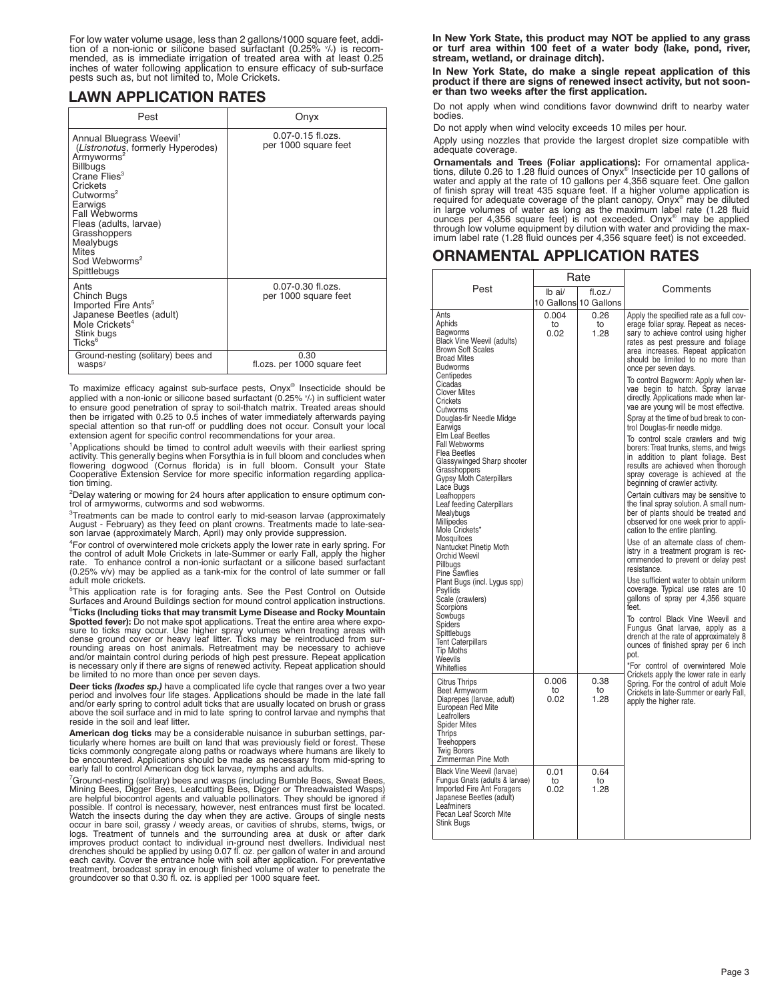For low water volume usage, less than 2 gallons/1000 square feet, addi-<br>tion of a non-ionic or silicone based surfactant (0.25% *V*.) is recom-<br>mended, as is immediate irrigation of treated area with at least 0.25 inches of water following application to ensure efficacy of sub-surface<br>pests such as, but not limited to, Mole Crickets.

# **LAWN APPLICATION RATES**

|                                                                                                                                                                                                                                                                                                                                        | Onyx                                          |
|----------------------------------------------------------------------------------------------------------------------------------------------------------------------------------------------------------------------------------------------------------------------------------------------------------------------------------------|-----------------------------------------------|
| Annual Bluegrass Weevil <sup>1</sup><br>(Listronotus, formerly Hyperodes)<br>Armyworms <sup>2</sup><br><b>Billbugs</b><br>Crane Flies <sup>3</sup><br>Crickets<br>Cutworms <sup>2</sup><br>Earwigs<br>Fall Webworms<br>Fleas (adults, larvae)<br>Grasshoppers<br>Mealybugs<br><b>Mites</b><br>Sod Webworms <sup>2</sup><br>Spittlebugs | $0.07 - 0.15$ fl.ozs.<br>per 1000 square feet |
| Ants<br>Chinch Bugs<br>Imported Fire Ants <sup>5</sup><br>Japanese Beetles (adult)<br>Mole Crickets <sup>4</sup><br>Stink bugs<br>$Ticks^6$                                                                                                                                                                                            | $0.07 - 0.30$ fl.ozs.<br>per 1000 square feet |
| Ground-nesting (solitary) bees and<br>wasps <sup>7</sup>                                                                                                                                                                                                                                                                               | 0.30<br>fl.ozs. per 1000 square feet          |

To maximize efficacy against sub-surface pests, Onyx® Insecticide should be applied with a non-ionic or silicone based surfactant (0.25% <sup>v</sup> /v) in sufficient water to ensure good penetration of spray to soil-thatch matrix. Treated areas should then be irrigated with 0.25 to 0.5 inches of water immediately afterwards paying special attention so that run-off or puddling does not occur. Consult your local extension agent for specific control recommendations for your area.

<sup>1</sup>Applications should be timed to control adult weevils with their earliest spring represent to the detection of the forest that is in full bloom and concludes when<br>activity. This generally begins when Forsythia is in full bloom and concludes when<br>flowering dogwood (Cornus florida) is in full bloom. Cons

2 Delay watering or mowing for <sup>24</sup> hours after application to ensure optimum con- trol of armyworms, cutworms and sod webworms.

<sup>3</sup>Treatments can be made to control early to mid-season larvae (approximately August - February) as they feed on plant crowns. Treatments made to late-sea- son larvae (approximately March, April) may only provide suppression.

<sup>4</sup>For control of overwintered mole crickets apply the lower rate in early spring. For the control of adult Mole Crickets in late-Summer or early Fall, apply the higher<br>rate. To enhance control a non-ionic surfactant or a silicone based surfactant<br>(0.25% v/v) may be applied as a tank-mix for the control of adult mole crickets.

5 This application rate is for foraging ants. See the Pest Control on Outside Surfaces and Around Buildings section for mound control application instructions.

 $^{\circ}$ Ticks (Including ticks that may transmit Lyme Disease and Rocky Mountain Spotted fever): Do not make spot applications. Treat the entire area where exposure to ticks may occur. Use higher spray volumes when treating areas with dense ground cover or heavy leaf litter. Ticks may be reintroduced from sur-<br>rounding areas on host animals. Retreatment may be necessary to achieve<br>and/or maintain control during periods of high pest pressure. Repeat appl be limited to no more than once per seven days.<br>Be necessary only if there are signs of renewed activity. Repeat application should<br>be limited to no more than once per seven days.

**Deer ticks** *(Ixodes sp.)* have a complicated life cycle that ranges over a two year period and involves four life stages. Applications should be made in the late fall and/or early spring to control adult ticks that are usually located on brush or grass above the soil surface and in mid to late spring to control larvae and nymphs that reside in the soil and leaf litter.

**American dog ticks** may be a considerable nuisance in suburban settings, particularly where homes are built on land that was previously field or forest. These<br>ticks commonly congregate along paths or roadways where humans are likely to<br>be encountered. Applications should be made as necessary from early fall to control American dog tick larvae, nymphs and adults.<br><sup>7</sup>Ground-nesting (solitary) bees and wasps (including Bumble Bees, Sweat Bees,

<sup>7</sup>Ground-nesting (solitary) bees and wasps (including Bumble Bees, Sweat Bees,<br>Mining Bees, Digger Bees, Leafcutting Bees, Digger or Threadwaisted Wasps)<br>are helpful biocontrol agents and valuable pollinators. They should possible. If control is necessary, however, nest entrances must first be located.<br>Watch the insects during the day when they are active. Groups of single nests<br>occur in bare soll, grassy / weedy areas, or cavities of shrub

**In New York State, this product may NOT be applied to any grass or turf area within 100 feet of a water body (lake, pond, river, stream, wetland, or drainage ditch).**

**In New York State, do make a single repeat application of this product if there are signs of renewed insect activity, but not sooner than two weeks after the first application.**

Do not apply when wind conditions favor downwind drift to nearby water bodies.

Do not apply when wind velocity exceeds 10 miles per hour.

Apply using nozzles that provide the largest droplet size compatible with adequate coverage.

**Ornamentals and Trees (Foliar applications):** For ornamental applications, dilute 0.26 to 1.28 fluid ounces of Onyx<sup>®</sup> Insecticide per 10 gallons of mister and apply at the rate of 10 gallons per 4,356 square feet. One g in large volumes of water as long as the maximum label rate (1.28 fluid ounces per 4,356 square feet) is not exceeded. Onyx® may be applied through low volume equipment by dilution with water and providing the max- imum label rate (1.28 fluid ounces per 4,356 square feet) is not exceeded.

# **ORNAMENTAL APPLICATION RATES**

|                                                                                                                                                                                                                                                                                                                                                                                                                                                                                                                                                                                                                                                                                                                                                                                        | Rate                |                                        |                                                                                                                                                                                                                                                                                                                                                                                                                                                                                                                                                                                                                                                                                                                                                                                                                                                                                                                                                                                                                                                                                                                                                                                                                                                                                                                                                                                                                     |  |
|----------------------------------------------------------------------------------------------------------------------------------------------------------------------------------------------------------------------------------------------------------------------------------------------------------------------------------------------------------------------------------------------------------------------------------------------------------------------------------------------------------------------------------------------------------------------------------------------------------------------------------------------------------------------------------------------------------------------------------------------------------------------------------------|---------------------|----------------------------------------|---------------------------------------------------------------------------------------------------------------------------------------------------------------------------------------------------------------------------------------------------------------------------------------------------------------------------------------------------------------------------------------------------------------------------------------------------------------------------------------------------------------------------------------------------------------------------------------------------------------------------------------------------------------------------------------------------------------------------------------------------------------------------------------------------------------------------------------------------------------------------------------------------------------------------------------------------------------------------------------------------------------------------------------------------------------------------------------------------------------------------------------------------------------------------------------------------------------------------------------------------------------------------------------------------------------------------------------------------------------------------------------------------------------------|--|
| Pest                                                                                                                                                                                                                                                                                                                                                                                                                                                                                                                                                                                                                                                                                                                                                                                   | lb ai/              | $f$ l.oz. $/$<br>10 Gallons 10 Gallons | Comments                                                                                                                                                                                                                                                                                                                                                                                                                                                                                                                                                                                                                                                                                                                                                                                                                                                                                                                                                                                                                                                                                                                                                                                                                                                                                                                                                                                                            |  |
| Ants<br>Aphids<br>Bagworms<br><b>Black Vine Weevil (adults)</b><br><b>Brown Soft Scales</b><br><b>Broad Mites</b><br><b>Budworms</b><br>Centipedes<br>Cicadas<br><b>Clover Mites</b><br>Crickets<br>Cutworms<br>Douglas-fir Needle Midge<br>Earwigs<br>Elm Leaf Beetles<br>Fall Webworms<br>Flea Beetles<br>Glassywinged Sharp shooter<br>Grasshoppers<br><b>Gypsy Moth Caterpillars</b><br>Lace Bugs<br>Leafhoppers<br>Leaf feeding Caterpillars<br>Mealybugs<br>Millipedes<br>Mole Crickets*<br>Mosquitoes<br>Nantucket Pinetip Moth<br>Orchid Weevil<br>Pillbugs<br><b>Pine Sawflies</b><br>Plant Bugs (incl. Lygus spp)<br>Psyllids<br>Scale (crawlers)<br>Scorpions<br>Sowbugs<br>Spiders<br>Spittlebugs<br><b>Tent Caterpillars</b><br><b>Tip Moths</b><br>Weevils<br>Whiteflies | 0.004<br>to<br>0.02 | 0.26<br>to<br>1.28                     | Apply the specified rate as a full cov-<br>erage foliar spray. Repeat as neces-<br>sary to achieve control using higher<br>rates as pest pressure and foliage<br>area increases. Repeat application<br>should be limited to no more than<br>once per seven days.<br>To control Bagworm: Apply when lar-<br>vae begin to hatch. Spray larvae<br>directly. Applications made when lar-<br>vae are young will be most effective.<br>Spray at the time of bud break to con-<br>trol Douglas-fir needle midge.<br>To control scale crawlers and twig<br>borers: Treat trunks, stems, and twigs<br>in addition to plant foliage. Best<br>results are achieved when thorough<br>spray coverage is achieved at the<br>beginning of crawler activity.<br>Certain cultivars may be sensitive to<br>the final spray solution. A small num-<br>ber of plants should be treated and<br>observed for one week prior to appli-<br>cation to the entire planting.<br>Use of an alternate class of chem-<br>istry in a treatment program is rec-<br>ommended to prevent or delay pest<br>resistance.<br>Use sufficient water to obtain uniform<br>coverage. Typical use rates are 10<br>gallons of spray per 4,356 square<br>feet<br>To control Black Vine Weevil and<br>Fungus Gnat larvae, apply as a<br>drench at the rate of approximately 8<br>ounces of finished spray per 6 inch<br>pot.<br>*For control of overwintered Mole |  |
| <b>Citrus Thrips</b><br>Beet Armyworm<br>Diaprepes (larvae, adult)<br>European Red Mite<br>Leafrollers<br><b>Spider Mites</b><br>Thrips<br>Treehoppers<br><b>Twig Borers</b><br>Zimmerman Pine Moth                                                                                                                                                                                                                                                                                                                                                                                                                                                                                                                                                                                    | 0.006<br>to<br>0.02 | 0.38<br>to<br>1.28                     | Crickets apply the lower rate in early<br>Spring. For the control of adult Mole<br>Crickets in late-Summer or early Fall,<br>apply the higher rate.                                                                                                                                                                                                                                                                                                                                                                                                                                                                                                                                                                                                                                                                                                                                                                                                                                                                                                                                                                                                                                                                                                                                                                                                                                                                 |  |
| Black Vine Weevil (larvae)<br>Fungus Gnats (adults & larvae)<br>Imported Fire Ant Foragers<br>Japanese Beetles (adult)<br>Leafminers<br>Pecan Leaf Scorch Mite<br>Stink Bugs                                                                                                                                                                                                                                                                                                                                                                                                                                                                                                                                                                                                           | 0.01<br>to<br>0.02  | 0.64<br>to<br>1.28                     |                                                                                                                                                                                                                                                                                                                                                                                                                                                                                                                                                                                                                                                                                                                                                                                                                                                                                                                                                                                                                                                                                                                                                                                                                                                                                                                                                                                                                     |  |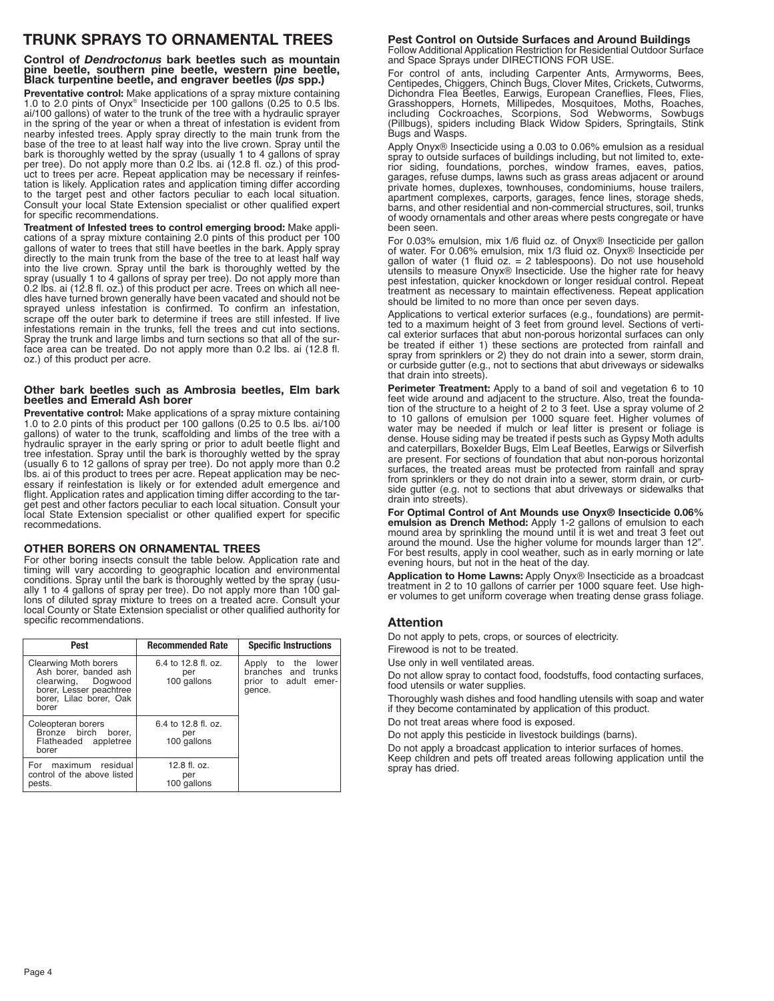# **TRUNK SPRAYS TO ORNAMENTAL TREES**

**Control of** *Dendroctonus* **bark beetles such as mountain** pine beetle, southern pine beetle, western pine beetle,<br>Black turpentine beetle, and engraver beetles (lps spp.)

**Preventative control:** Make applications of a spray mixture containing 1.0 to 2.0 pints of Onyx<sup>®</sup> Insecticide per 100 gallons (0.25 to 0.5 lbs. ai/100 gallons) of water to the trunk of the tree with a hydraulic sprayer in the spring of the year or when a threat of infestation is evident from nearby infested trees. Apply spray directly to the main trunk from the base of the tree to at least half way into the live crown. Spray until the bark is thoroughly wetted by the spray (usually 1 to 4 gallons of spray per tree). Do not apply more than 0.2 lbs. ai (12.8 fl. oz.) of this product to trees per acre. Repeat application may be necessary if reinfestation is likely. Application rates and application timing differ according to the target pest and other factors peculiar to each local situation. Consult your local State Extension specialist or other qualified expert for specific recommendations.

**Treatment of Infested trees to control emerging brood:** Make applications of a spray mixture containing 2.0 pints of this product per 100 gallons of water to trees that still have beetles in the bark. Apply spray directly to the main trunk from the base of the tree to at least half way into the live crown. Spray until the bark is thoroughly wetted by the spray (usually 1 to 4 gallons of spray per tree). Do not apply more than 0.2 lbs. ai (12.8 fl. oz.) of this product per acre. Trees on which all needles have turned brown generally have been vacated and should not be sprayed unless infestation is confirmed. To confirm an infestation, scrape off the outer bark to determine if trees are still infested. If live infestations remain in the trunks, fell the trees and cut into sections. Spray the trunk and large limbs and turn sections so that all of the surface area can be treated. Do not apply more than 0.2 lbs. ai (12.8 fl. oz.) of this product per acre.

#### **Other bark beetles such as Ambrosia beetles, Elm bark beetles and Emerald Ash borer**

**Preventative control:** Make applications of a spray mixture containing 1.0 to 2.0 pints of this product per 100 gallons (0.25 to 0.5 lbs. ai/100 gallons) of water to the trunk, scaffolding and limbs of the tree with a hydraulic sprayer in the early spring or prior to adult beetle flight and tree infestation. Spray until the bark is thoroughly wetted by the spray (usually 6 to 12 gallons of spray per tree). Do not apply more than 0.2 lbs. ai of this product to trees per acre. Repeat application may be necessary if reinfestation is likely or for extended adult emergence and flight. Application rates and application timing differ according to the target pest and other factors peculiar to each local situation. Consult your local State Extension specialist or other qualified expert for specific recommedations.

#### **OTHER BORERS ON ORNAMENTAL TREES**

For other boring insects consult the table below. Application rate and timing will vary according to geographic location and environmental conditions. Spray until the bark is thoroughly wetted by the spray (usually 1 to 4 gallons of spray per tree). Do not apply more than 100 gallons of diluted spray mixture to trees on a treated acre. Consult your local County or State Extension specialist or other qualified authority for specific recommendations.

| Pest                                                                                                                                | <b>Recommended Rate</b>                   | <b>Specific Instructions</b>                                                   |  |
|-------------------------------------------------------------------------------------------------------------------------------------|-------------------------------------------|--------------------------------------------------------------------------------|--|
| Clearwing Moth borers<br>Ash borer, banded ash<br>clearwing, Dogwood<br>borer, Lesser peachtree<br>borer, Lilac borer, Oak<br>borer | 6.4 to 12.8 fl. oz.<br>per<br>100 gallons | lower<br>Apply to the<br>branches and trunks<br>prior to adult emer-<br>gence. |  |
| Coleopteran borers<br>Bronze birch borer.<br>Flatheaded appletree<br>borer                                                          | 6.4 to 12.8 fl. oz.<br>per<br>100 gallons |                                                                                |  |
| For<br>maximum residual<br>control of the above listed<br>pests.                                                                    | 12.8 fl. oz.<br>per<br>100 gallons        |                                                                                |  |

#### **Pest Control on Outside Surfaces and Around Buildings**

Follow Additional Application Restriction for Residential Outdoor Surface and Space Sprays under DIRECTIONS FOR USE.

For control of ants, including Carpenter Ants, Armyworms, Bees, Centipedes, Chiggers, Chinch Bugs, Clover Mites, Crickets, Cutworms, Dichondra Flea Beetles, Earwigs, European Craneflies, Flees, Flies, Grasshoppers, Hornets, Millipedes, Mosquitoes, Moths, Roaches, including Cockroaches, Scorpions, Sod Webworms, Sowbugs (Pillbugs), spiders including Black Widow Spiders, Springtails, Stink Bugs and Wasps.

Apply Onyx® Insecticide using a 0.03 to 0.06% emulsion as a residual spray to outside surfaces of buildings including, but not limited to, exterior siding, foundations, porches, window frames, eaves, patios, garages, refuse dumps, lawns such as grass areas adjacent or around private homes, duplexes, townhouses, condominiums, house trailers, apartment complexes, carports, garages, fence lines, storage sheds, barns, and other residential and non-commercial structures, soil, trunks of woody ornamentals and other areas where pests congregate or have been seen.

For 0.03% emulsion, mix 1/6 fluid oz. of Onyx® Insecticide per gallon of water. For 0.06% emulsion, mix 1/3 fluid oz. Onyx® Insecticide per gallon of water (1 fluid oz. = 2 tablespoons). Do not use household utensils to measure Onyx® Insecticide. Use the higher rate for heavy pest infestation, quicker knockdown or longer residual control. Repeat treatment as necessary to maintain effectiveness. Repeat application should be limited to no more than once per seven days.

Applications to vertical exterior surfaces (e.g., foundations) are permitted to a maximum height of 3 feet from ground level. Sections of vertical exterior surfaces that abut non-porous horizontal surfaces can only be treated if either 1) these sections are protected from rainfall and spray from sprinklers or 2) they do not drain into a sewer, storm drain, or curbside gutter (e.g., not to sections that abut driveways or sidewalks that drain into streets).

**Perimeter Treatment:** Apply to a band of soil and vegetation 6 to 10 feet wide around and adjacent to the structure. Also, treat the foundation of the structure to a height of 2 to 3 feet. Use a spray volume of 2 to 10 gallons of emulsion per 1000 square feet. Higher volumes of water may be needed if mulch or leaf litter is present or foliage is dense. House siding may be treated if pests such as Gypsy Moth adults and caterpillars, Boxelder Bugs, Elm Leaf Beetles, Earwigs or Silverfish are present. For sections of foundation that abut non-porous horizontal surfaces, the treated areas must be protected from rainfall and spray from sprinklers or they do not drain into a sewer, storm drain, or curbside gutter (e.g. not to sections that abut driveways or sidewalks that drain into streets).

**For Optimal Control of Ant Mounds use Onyx® Insecticide 0.06% emulsion as Drench Method:** Apply 1-2 gallons of emulsion to each mound area by sprinkling the mound until it is wet and treat 3 feet out around the mound. Use the higher volume for mounds larger than 12". For best results, apply in cool weather, such as in early morning or late evening hours, but not in the heat of the day.

**Application to Home Lawns:** Apply Onyx® Insecticide as a broadcast treatment in 2 to 10 gallons of carrier per 1000 square feet. Use higher volumes to get uniform coverage when treating dense grass foliage.

# **Attention**

Do not apply to pets, crops, or sources of electricity.

Firewood is not to be treated.

Use only in well ventilated areas.

Do not allow spray to contact food, foodstuffs, food contacting surfaces, food utensils or water supplies.

Thoroughly wash dishes and food handling utensils with soap and water if they become contaminated by application of this product.

Do not treat areas where food is exposed.

Do not apply this pesticide in livestock buildings (barns).

Do not apply a broadcast application to interior surfaces of homes. Keep children and pets off treated areas following application until the spray has dried.